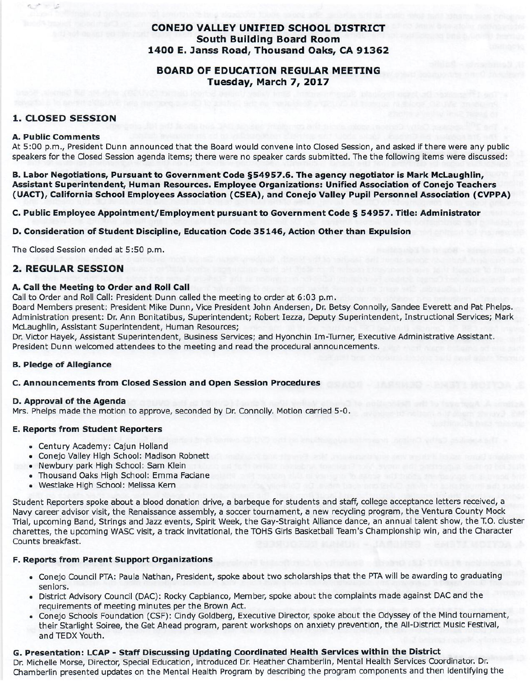## **CONEJO VALLEY UNIFIED SCHOOL DISTRICT South Building Board Room** 1400 E. Janss Road, Thousand Oaks, CA 91362

## **BOARD OF EDUCATION REGULAR MEETING** Tuesday, March 7, 2017

### **1. CLOSED SESSION**

#### **A. Public Comments**

At 5:00 p.m., President Dunn announced that the Board would convene into Closed Session, and asked if there were any public speakers for the Closed Session agenda items; there were no speaker cards submitted. The the following items were discussed:

B. Labor Negotiations, Pursuant to Government Code §54957.6. The agency negotiator is Mark McLaughlin, Assistant Superintendent, Human Resources. Employee Organizations: Unified Association of Conejo Teachers (UACT), California School Employees Association (CSEA), and Conejo Valley Pupil Personnel Association (CVPPA)

C. Public Employee Appointment/Employment pursuant to Government Code § 54957. Title: Administrator

#### D. Consideration of Student Discipline, Education Code 35146, Action Other than Expulsion

The Closed Session ended at 5:50 p.m.

## **2. REGULAR SESSION**

#### A. Call the Meeting to Order and Roll Call

Call to Order and Roll Call: President Dunn called the meeting to order at 6:03 p.m.

Board Members present; President Mike Dunn, Vice President John Andersen, Dr. Betsy Connolly, Sandee Everett and Pat Phelps. Administration present: Dr. Ann Bonitatibus, Superintendent: Robert Iezza, Deputy Superintendent, Instructional Services; Mark McLaughlin, Assistant Superintendent, Human Resources;

Dr. Victor Hayek, Assistant Superintendent, Business Services; and Hyonchin Im-Turner, Executive Administrative Assistant. President Dunn welcomed attendees to the meeting and read the procedural announcements.

### **B. Pledge of Allegiance**

### C. Announcements from Closed Session and Open Session Procedures

#### D. Approval of the Agenda

Mrs. Phelps made the motion to approve, seconded by Dr. Connolly. Motion carried 5-0.

### **E. Reports from Student Reporters**

- Century Academy: Cajun Holland
- Conejo Valley High School: Madison Robnett
- Newbury park High School: Sam Klein
- Thousand Oaks High School: Emma Faciane
- · Westlake High School: Melissa Kern

Student Reporters spoke about a blood donation drive, a barbeque for students and staff, college acceptance letters received, a Navy career advisor visit, the Renaissance assembly, a soccer tournament, a new recycling program, the Ventura County Mock Trial, upcoming Band, Strings and Jazz events, Spirit Week, the Gay-Straight Alliance dance, an annual talent show, the T.O. cluster charettes, the upcoming WASC visit, a track invitational, the TOHS Girls Basketball Team's Championship win, and the Character Counts breakfast.

### F. Reports from Parent Support Organizations

- Conejo Council PTA: Paula Nathan, President, spoke about two scholarships that the PTA will be awarding to graduating seniors.
- . District Advisory Council (DAC): Rocky Capbianco, Member, spoke about the complaints made against DAC and the requirements of meeting minutes per the Brown Act.
- Conejo Schools Foundation (CSF): Cindy Goldberg, Executive Director, spoke about the Odyssey of the Mind tournament, their Starlight Soiree, the Get Ahead program, parent workshops on anxiety prevention, the All-District Music Festival, and TEDX Youth.

# G. Presentation: LCAP - Staff Discussing Updating Coordinated Health Services within the District

Dr. Michelle Morse, Director, Special Education, introduced Dr. Heather Chamberlin, Mental Health Services Coordinator. Dr. Chamberlin presented updates on the Mental Health Program by describing the program components and then identifying the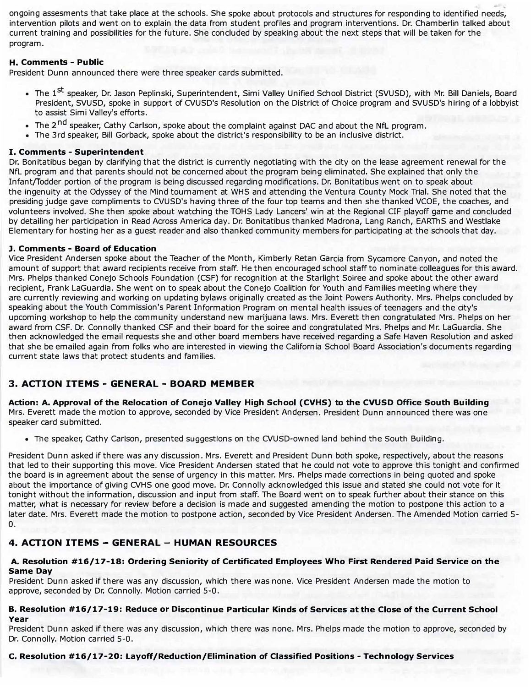. ongoing assesments that take place at the schools. She spoke about protocols and structures for responding to identified needs, intervention pilots and went on to explain the data from student profiles and program interventions. Dr. Chamberlin talked about current training and possibilities for the future. She concluded by speaking about the next steps that will be taken for the program.

### **H. Comments - Public**

President Dunn announced there were three speaker cards submitted.

- The 1<sup>st</sup> speaker, Dr. Jason Peplinski, Superintendent, Simi Valley Unified School District (SVUSD), with Mr. Bill Daniels, Board President, SVUSD, spoke in support of CVUSD's Resolution on the District of Choice program and SVUSD's hiring of a lobbyist to assist Simi Valley's efforts.
- The 2<sup>nd</sup> speaker, Cathy Carlson, spoke about the complaint against DAC and about the NfL program.
- •The 3rd speaker, Bill Gorback, spoke about the district's responsibility to be an inclusive district.

### **I. Comments - Superintendent**

Dr. Bonitatibus began by clarifying that the district is currently negotiating with the city on the lease agreement renewal for the NfL program and that parents should not be concerned about the program being eliminated. She explained that only the Infant/fodder portion of the program is being discussed regarding modifications. Dr. Bonitatibus went on to speak about the ingenuity at the Odyssey of the Mind tournament at WHS and attending the Ventura County Mock Trial. She noted that the presiding judge gave compliments to CVUSD's having three of the four top teams and then she thanked VCOE, the coaches, and volunteers involved. She then spoke about watching the TOHS Lady Lancers' win at the Regional CIF playoff game and concluded by detailing her participation in Read Across America day. Dr. Bonitatibus thanked Madrona, Lang Ranch, EARThS and Westlake Elementary for hosting her as a guest reader and also thanked community members for participating at the schools that day.

### **J. Comments - Board of Education**

Vice President Andersen spoke about the Teacher of the Month, Kimberly Retan Garcia from Sycamore canyon, and noted the amount of support that award recipients receive from staff. He then encouraged school staff to nominate colleagues for this award. Mrs. Phelps thanked Conejo Schools Foundation (CSF) for recognition at the Starlight Soiree and spoke about the other award recipient, Frank LaGuardia. She went on to speak about the Conejo Coalition for Youth and Families meeting where they are currently reviewing and working on updating bylaws originally created as the Joint Powers Authority. Mrs. Phelps concluded by speaking about the Youth Commission's Parent Information Program on mental health issues of teenagers and the city's upcoming workshop to help the community understand new marijuana laws. Mrs. Everett then congratulated Mrs. Phelps on her award from CSF. Dr. Connolly thanked CSF and their board for the soiree and congratulated Mrs. Phelps and Mr. LaGuardia. She then acknowledged the email requests she and other board members have received regarding a Safe Haven Resolution and asked that she be emailed again from folks who are interested in viewing the California School Board Association's documents regarding current state laws that protect students and families.

## **3. ACTION ITEMS - GENERAL - BOARD MEMBER**

**Action: A. Approval of the Relocation of Conejo Valley High School (CVHS) to the CVUSD Office South Building**  Mrs. Everett made the motion to approve, seconded by Vice President Andersen. President Dunn announced there was one speaker card submitted.

• The speaker, Cathy Carlson, presented suggestions on the CVUSD-owned land behind the South Building.

President Dunn asked if there was any discussion. Mrs. Everett and President Dunn both spoke, respectively, about the reasons that led to their supporting this move. Vice President Andersen stated that he could not vote to approve this tonight and confirmed the board is in agreement about the sense of urgency in this matter. Mrs. Phelps made corrections in being quoted and spoke about the importance of giving CVHS one good move. Dr. Connolly acknowledged this issue and stated she could not vote for it tonight without the information, discussion and input from staff. The Board went on to speak further about their stance on this matter, what is necessary for review before a decision is made and suggested amending the motion to postpone this action to a later date. Mrs. Everett made the motion to postpone action, seconded by Vice President Andersen. The Amended Motion carried S-O.

## **4. ACTION ITEMS - GENERAL - HUMAN RESOURCES**

### **A. Resolution #16/17-18: Ordering Seniority of Certificated Employees Who First Rendered Paid Service on the Same Day**

President Dunn asked if there was any discussion, which there was none. Vice President Andersen made the motion to approve, seconded by Dr. Connolly. Motion carried 5-0.

#### **B. Resolution #16/17-19: Reduce or Discontinue Particular Kinds of Services at the Close of the Current School Year**

President Dunn asked if there was any discussion, which there was none. Mrs. Phelps made the motion to approve, seconded by Dr. Connolly. Motion carried 5-0.

## **c. Resolution #16/17-20: Layoff/Reduction/Elimination of Classified Positions - Technology Services**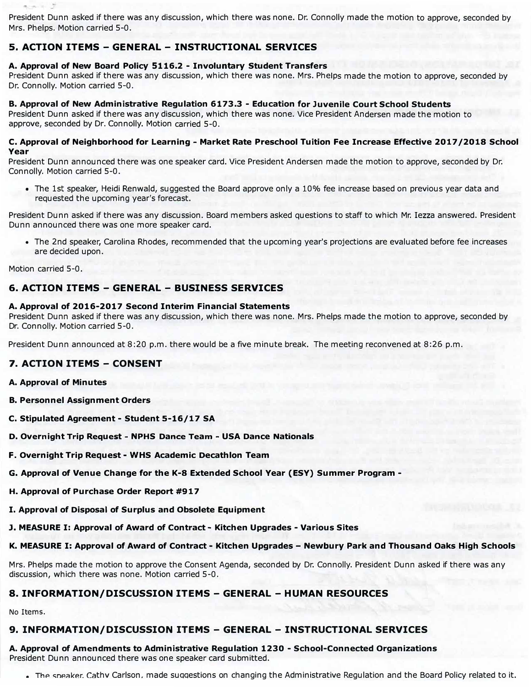President Dunn asked if there was any discussion, which there was none. Dr. Connolly made the motion to approve, seconded by Mrs. Phelps. Motion carried 5-0.

## **S. ACTION ITEMS - GENERAL - INSTRUCTIONAL SERVICES**

### **A. Approval of New Board Policy 5116.2 - Involuntary Student Transfers**

President Dunn asked if there was any discussion, which there was none. Mrs. Phelps made the motion to approve, seconded by Dr. Connolly. Motion carried 5-0.

### **B. Approval of New Administrative Regulation 6173.3 - Education for Juvenile Court School Students**

President Dunn asked if there was any discussion, which there was none. Vice President Andersen made the motion to approve, seconded by Dr. Connolly. Motion carried 5-0.

### **c. Approval of Neighborhood for Learning - Market Rate Preschool Tuition Fee Increase Effective 2017 /2018 School Year**

President Dunn announced there was one speaker card. Vice President Andersen made the motion to approve, seconded by Dr. Connolly. Motion carried 5-0.

• The 1st speaker, Heidi Renwald, suggested the Board approve only a 10% fee increase based on previous year data and requested the upcoming year's forecast.

President Dunn asked if there was any discussion. Board members asked questions to staff to which Mr. Iezza answered. President Dunn announced there was one more speaker card.

• The 2nd speaker, Carolina Rhodes, recommended that the upcoming year's projections are evaluated before fee increases are decided upon.

Motion carried 5-0.

 $n = 2$ 

## **6. ACTION ITEMS - GENERAL - BUSINESS SERVICES**

### **A. Approval of 2016-2017 Second Interim Financial Statements**

President Dunn asked if there was any discussion, which there was none. Mrs. Phelps made the motion to approve, seconded by Dr. Connolly. Motion carried 5-0.

President Dunn announced at 8:20 p.m. there would be a five minute break. The meeting reconvened at 8:26 p.m.

## **7. ACTION ITEMS - CONSENT**

- **A. Approval of Minutes**
- **B. Personnel Assignment Orders**
- **C. Stipulated Agreement - Student 5-16/17 SA**
- **D. Overnight Trip Request - NPHS Dance Team - USA Dance Nationals**
- **F. Overnight Trip Request - WHS Academic Decathlon Team**
- **G. Approval of Venue Change for the K-8 Extended School Year (ESY) Summer Program -**
- **H. Approval of Purchase Order Report #917**
- **I. Approval of Disposal of Surplus and Obsolete Equipment**

**J. MEASURE I: Approval of Award of Contract - Kitchen Upgrades - Various Sites**

## **K. MEASURE I: Approval of Award of Contract - Kitchen Upgrades - Newbury Park and Thousand Oaks High Schools**

Mrs. Phelps made the motion to approve the Consent Agenda, seconded by Dr. Connolly. President Dunn asked if there was any discussion, which there was none. Motion carried 5-0.

# **8. INFORMATION/DISCUSSION ITEMS - GENERAL - HUMAN RESOURCES**

No Items.

## **9. INFORMATION/DISCUSSION ITEMS - GENERAL - INSTRUCTIONAL SERVICES**

**A. Approval of Amendments to Administrative Regulation 1230 - School-Connected Organizations** President Dunn announced there was one speaker card submitted.

 $\bullet$  The sneaker. Cathv Carlson, made suggestions on changing the Administrative Regulation and the Board Policy related to it.